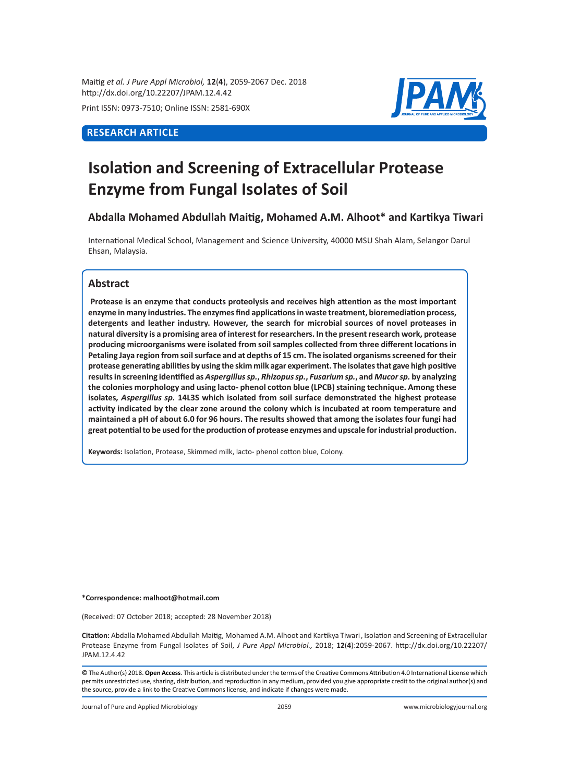Maitig *et al. J Pure Appl Microbiol,* **12**(**4**), 2059-2067 Dec. 2018 http://dx.doi.org/10.22207/JPAM.12.4.42

Print ISSN: 0973-7510; Online ISSN: 2581-690X

# **RESEARCH ARTICLE**



# **Isolation and Screening of Extracellular Protease Enzyme from Fungal Isolates of Soil**

**Abdalla Mohamed Abdullah Maitig, Mohamed A.M. Alhoot\* and Kartikya Tiwari**

International Medical School, Management and Science University, 40000 MSU Shah Alam, Selangor Darul Ehsan, Malaysia.

## **Abstract**

**Protease is an enzyme that conducts proteolysis and receives high attention as the most important enzyme in many industries. The enzymes find applications in waste treatment, bioremediation process, detergents and leather industry. However, the search for microbial sources of novel proteases in natural diversity is a promising area of interest for researchers. In the present research work, protease producing microorganisms were isolated from soil samples collected from three different locations in Petaling Jaya region from soil surface and at depths of 15 cm. The isolated organisms screened for their protease generating abilities by using the skim milk agar experiment. The isolates that gave high positive results in screening identified as** *Aspergillus sp.***,** *Rhizopus sp.***,** *Fusarium sp.***, and** *Mucor sp.* **by analyzing the colonies morphology and using lacto- phenol cotton blue (LPCB) staining technique. Among these isolates***, Aspergillus sp.* **14L3S which isolated from soil surface demonstrated the highest protease activity indicated by the clear zone around the colony which is incubated at room temperature and maintained a pH of about 6.0 for 96 hours. The results showed that among the isolates four fungi had great potential to be used for the production of protease enzymes and upscale for industrial production.**

**Keywords:** Isolation, Protease, Skimmed milk, lacto- phenol cotton blue, Colony.

#### **\*Correspondence: malhoot@hotmail.com**

(Received: 07 October 2018; accepted: 28 November 2018)

**Citation:** Abdalla Mohamed Abdullah Maitig, Mohamed A.M. Alhoot and Kartikya Tiwari, Isolation and Screening of Extracellular Protease Enzyme from Fungal Isolates of Soil, *J Pure Appl Microbiol.,* 2018; **12**(**4**):2059-2067. http://dx.doi.org/10.22207/ JPAM.12.4.42

© The Author(s) 2018. **Open Access**. This article is distributed under the terms of the Creative Commons Attribution 4.0 International License which permits unrestricted use, sharing, distribution, and reproduction in any medium, provided you give appropriate credit to the original author(s) and the source, provide a link to the Creative Commons license, and indicate if changes were made.

Journal of Pure and Applied Microbiology 2059 www.microbiologyjournal.org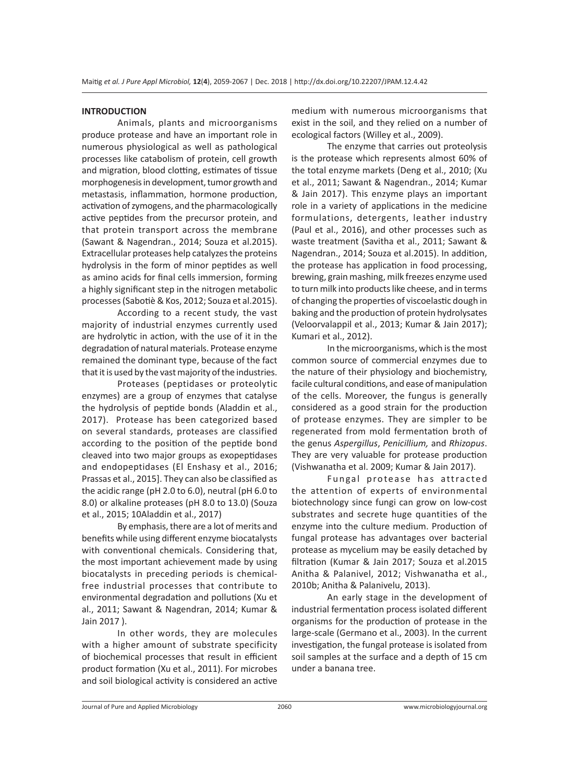#### **INTRODUCTION**

Animals, plants and microorganisms produce protease and have an important role in numerous physiological as well as pathological processes like catabolism of protein, cell growth and migration, blood clotting, estimates of tissue morphogenesis in development, tumor growth and metastasis, inflammation, hormone production, activation of zymogens, and the pharmacologically active peptides from the precursor protein, and that protein transport across the membrane (Sawant & Nagendran., 2014; Souza et al.2015). Extracellular proteases help catalyzes the proteins hydrolysis in the form of minor peptides as well as amino acids for final cells immersion, forming a highly significant step in the nitrogen metabolic processes (Sabotiè & Kos, 2012; Souza et al.2015).

According to a recent study, the vast majority of industrial enzymes currently used are hydrolytic in action, with the use of it in the degradation of natural materials. Protease enzyme remained the dominant type, because of the fact that it is used by the vast majority of the industries.

Proteases (peptidases or proteolytic enzymes) are a group of enzymes that catalyse the hydrolysis of peptide bonds (Aladdin et al., 2017). Protease has been categorized based on several standards, proteases are classified according to the position of the peptide bond cleaved into two major groups as exopeptidases and endopeptidases (El Enshasy et al., 2016; Prassas et al., 2015]. They can also be classified as the acidic range (pH 2.0 to 6.0), neutral (pH 6.0 to 8.0) or alkaline proteases (pH 8.0 to 13.0) (Souza et al., 2015; 10Aladdin et al., 2017)

By emphasis, there are a lot of merits and benefits while using different enzyme biocatalysts with conventional chemicals. Considering that, the most important achievement made by using biocatalysts in preceding periods is chemicalfree industrial processes that contribute to environmental degradation and pollutions (Xu et al., 2011; Sawant & Nagendran, 2014; Kumar & Jain 2017 ).

In other words, they are molecules with a higher amount of substrate specificity of biochemical processes that result in efficient product formation (Xu et al., 2011). For microbes and soil biological activity is considered an active medium with numerous microorganisms that exist in the soil, and they relied on a number of ecological factors (Willey et al., 2009).

The enzyme that carries out proteolysis is the protease which represents almost 60% of the total enzyme markets (Deng et al., 2010; (Xu et al., 2011; Sawant & Nagendran., 2014; Kumar & Jain 2017). This enzyme plays an important role in a variety of applications in the medicine formulations, detergents, leather industry (Paul et al., 2016), and other processes such as waste treatment (Savitha et al., 2011; Sawant & Nagendran., 2014; Souza et al.2015). In addition, the protease has application in food processing, brewing, grain mashing, milk freezes enzyme used to turn milk into products like cheese, and in terms of changing the properties of viscoelastic dough in baking and the production of protein hydrolysates (Veloorvalappil et al., 2013; Kumar & Jain 2017); Kumari et al., 2012).

In the microorganisms, which is the most common source of commercial enzymes due to the nature of their physiology and biochemistry, facile cultural conditions, and ease of manipulation of the cells. Moreover, the fungus is generally considered as a good strain for the production of protease enzymes. They are simpler to be regenerated from mold fermentation broth of the genus *Aspergillus*, *Penicillium,* and *Rhizopus*. They are very valuable for protease production (Vishwanatha et al. 2009; Kumar & Jain 2017).

Fungal protease has attracted the attention of experts of environmental biotechnology since fungi can grow on low-cost substrates and secrete huge quantities of the enzyme into the culture medium. Production of fungal protease has advantages over bacterial protease as mycelium may be easily detached by filtration (Kumar & Jain 2017; Souza et al.2015 Anitha & Palanivel, 2012; Vishwanatha et al., 2010b; Anitha & Palanivelu, 2013).

An early stage in the development of industrial fermentation process isolated different organisms for the production of protease in the large-scale (Germano et al., 2003). In the current investigation, the fungal protease is isolated from soil samples at the surface and a depth of 15 cm under a banana tree.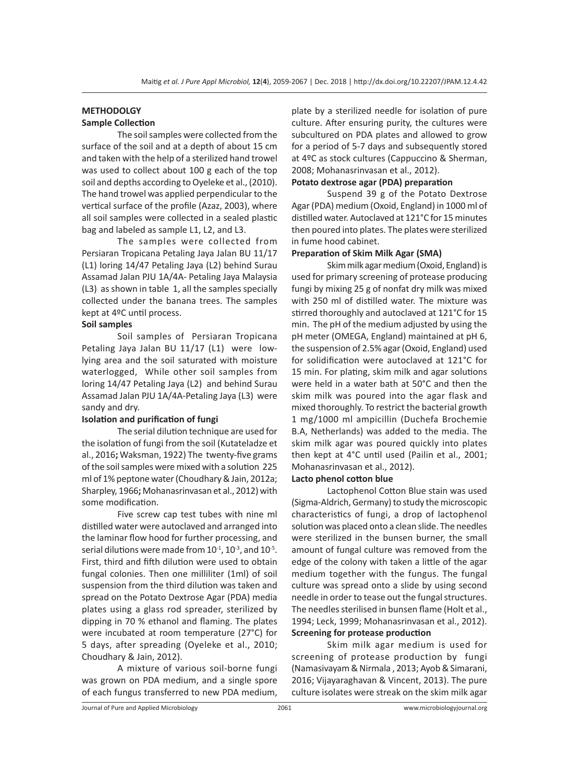#### **METHODOLGY Sample Collection**

The soil samples were collected from the surface of the soil and at a depth of about 15 cm and taken with the help of a sterilized hand trowel was used to collect about 100 g each of the top soil and depths according to Oyeleke et al., (2010). The hand trowel was applied perpendicular to the vertical surface of the profile (Azaz, 2003), where all soil samples were collected in a sealed plastic bag and labeled as sample L1, L2, and L3.

The samples were collected from Persiaran Tropicana Petaling Jaya Jalan BU 11/17 (L1) loring 14/47 Petaling Jaya (L2) behind Surau Assamad Jalan PJU 1A/4A- Petaling Jaya Malaysia (L3) as shown in table 1, all the samples specially collected under the banana trees. The samples kept at 4ºC until process.

### **Soil samples**

Soil samples of Persiaran Tropicana Petaling Jaya Jalan BU 11/17 (L1) were lowlying area and the soil saturated with moisture waterlogged, While other soil samples from loring 14/47 Petaling Jaya (L2) and behind Surau Assamad Jalan PJU 1A/4A-Petaling Jaya (L3) were sandy and dry.

#### **Isolation and purification of fungi**

The serial dilution technique are used for the isolation of fungi from the soil (Kutateladze et al., 2016**;** Waksman, 1922) The twenty-five grams of the soil samples were mixed with a solution 225 ml of 1% peptone water (Choudhary & Jain, 2012a; Sharpley, 1966**;** Mohanasrinvasan et al., 2012) with some modification.

Five screw cap test tubes with nine ml distilled water were autoclaved and arranged into the laminar flow hood for further processing, and serial dilutions were made from  $10^{-1}$ ,  $10^{-3}$ , and  $10^{-5}$ . First, third and fifth dilution were used to obtain fungal colonies. Then one milliliter (1ml) of soil suspension from the third dilution was taken and spread on the Potato Dextrose Agar (PDA) media plates using a glass rod spreader, sterilized by dipping in 70 % ethanol and flaming. The plates were incubated at room temperature (27°C) for 5 days, after spreading (Oyeleke et al., 2010; Choudhary & Jain, 2012).

A mixture of various soil-borne fungi was grown on PDA medium, and a single spore of each fungus transferred to new PDA medium, plate by a sterilized needle for isolation of pure culture. After ensuring purity, the cultures were subcultured on PDA plates and allowed to grow for a period of 5-7 days and subsequently stored at 4ºC as stock cultures (Cappuccino & Sherman, 2008; Mohanasrinvasan et al., 2012).

#### **Potato dextrose agar (PDA) preparation**

Suspend 39 g of the Potato Dextrose Agar (PDA) medium (Oxoid, England) in 1000 ml of distilled water. Autoclaved at 121°C for 15 minutes then poured into plates. The plates were sterilized in fume hood cabinet.

#### **Preparation of Skim Milk Agar (SMA)**

Skim milk agar medium (Oxoid, England) is used for primary screening of protease producing fungi by mixing 25 g of nonfat dry milk was mixed with 250 ml of distilled water. The mixture was stirred thoroughly and autoclaved at 121°C for 15 min. The pH of the medium adjusted by using the pH meter (OMEGA, England) maintained at pH 6, the suspension of 2.5% agar (Oxoid, England) used for solidification were autoclaved at 121°C for 15 min. For plating, skim milk and agar solutions were held in a water bath at 50°C and then the skim milk was poured into the agar flask and mixed thoroughly. To restrict the bacterial growth 1 mg/1000 ml ampicillin (Duchefa Brochemie B.A, Netherlands) was added to the media. The skim milk agar was poured quickly into plates then kept at 4°C until used (Pailin et al., 2001; Mohanasrinvasan et al., 2012).

#### **Lacto phenol cotton blue**

Lactophenol Cotton Blue stain was used (Sigma-Aldrich, Germany) to study the microscopic characteristics of fungi, a drop of lactophenol solution was placed onto a clean slide. The needles were sterilized in the bunsen burner, the small amount of fungal culture was removed from the edge of the colony with taken a little of the agar medium together with the fungus. The fungal culture was spread onto a slide by using second needle in order to tease out the fungal structures. The needles sterilised in bunsen flame (Holt et al., 1994; Leck, 1999; Mohanasrinvasan et al., 2012). **Screening for protease production** 

Skim milk agar medium is used for screening of protease production by fungi (Namasivayam & Nirmala , 2013; Ayob & Simarani, 2016; Vijayaraghavan & Vincent, 2013). The pure culture isolates were streak on the skim milk agar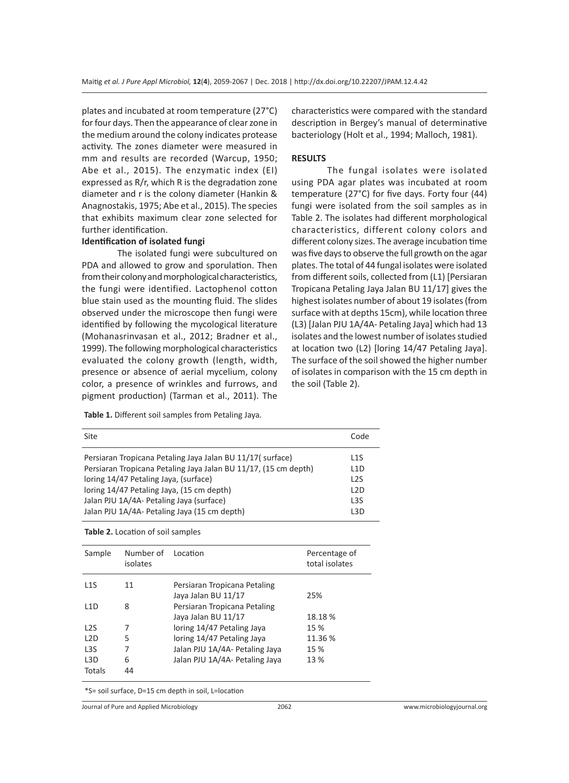plates and incubated at room temperature (27°C) for four days. Then the appearance of clear zone in the medium around the colony indicates protease activity. The zones diameter were measured in mm and results are recorded (Warcup, 1950; Abe et al., 2015). The enzymatic index (EI) expressed as R/r, which R is the degradation zone diameter and r is the colony diameter (Hankin & Anagnostakis, 1975; Abe et al., 2015). The species that exhibits maximum clear zone selected for further identification.

#### **Identification of isolated fungi**

The isolated fungi were subcultured on PDA and allowed to grow and sporulation. Then from their colony and morphological characteristics, the fungi were identified. Lactophenol cotton blue stain used as the mounting fluid. The slides observed under the microscope then fungi were identified by following the mycological literature (Mohanasrinvasan et al., 2012; Bradner et al., 1999). The following morphological characteristics evaluated the colony growth (length, width, presence or absence of aerial mycelium, colony color, a presence of wrinkles and furrows, and pigment production) (Tarman et al., 2011). The

**Table 1.** Different soil samples from Petaling Jaya*.*

characteristics were compared with the standard description in Bergey's manual of determinative bacteriology (Holt et al., 1994; Malloch, 1981).

#### **RESULTS**

The fungal isolates were isolated using PDA agar plates was incubated at room temperature (27°C) for five days. Forty four (44) fungi were isolated from the soil samples as in Table 2. The isolates had different morphological characteristics, different colony colors and different colony sizes. The average incubation time was five days to observe the full growth on the agar plates. The total of 44 fungal isolates were isolated from different soils, collected from (L1) [Persiaran Tropicana Petaling Jaya Jalan BU 11/17] gives the highest isolates number of about 19 isolates (from surface with at depths 15cm), while location three (L3) [Jalan PJU 1A/4A- Petaling Jaya] which had 13 isolates and the lowest number of isolates studied at location two (L2) [loring 14/47 Petaling Jaya]. The surface of the soil showed the higher number of isolates in comparison with the 15 cm depth in the soil (Table 2).

| Site                                                            | Code             |
|-----------------------------------------------------------------|------------------|
| Persiaran Tropicana Petaling Jaya Jalan BU 11/17( surface)      | L <sub>1</sub> S |
| Persiaran Tropicana Petaling Jaya Jalan BU 11/17, (15 cm depth) | L <sub>1</sub> D |
| loring 14/47 Petaling Jaya, (surface)                           | L <sub>2</sub> S |
| loring 14/47 Petaling Jaya, (15 cm depth)                       | L2D              |
| Jalan PJU 1A/4A- Petaling Jaya (surface)                        | L <sub>3</sub> S |
| Jalan PJU 1A/4A- Petaling Jaya (15 cm depth)                    | 13D              |

| Table 2. Location of soil samples |  |  |  |
|-----------------------------------|--|--|--|
|-----------------------------------|--|--|--|

| Sample           | Number of<br>isolates | Location                       | Percentage of<br>total isolates |
|------------------|-----------------------|--------------------------------|---------------------------------|
| L1S              | 11                    | Persiaran Tropicana Petaling   |                                 |
|                  |                       | Jaya Jalan BU 11/17            | 25%                             |
| 11D              | 8                     | Persiaran Tropicana Petaling   |                                 |
|                  |                       | Jaya Jalan BU 11/17            | 18.18%                          |
| L <sub>2</sub> S | 7                     | loring 14/47 Petaling Jaya     | 15 %                            |
| L2D              | 5                     | loring 14/47 Petaling Jaya     | 11.36 %                         |
| L <sub>3</sub> S | 7                     | Jalan PJU 1A/4A- Petaling Jaya | 15 %                            |
| L <sub>3</sub> D | 6                     | Jalan PJU 1A/4A- Petaling Jaya | 13 %                            |
| Totals           | 44                    |                                |                                 |

\*S= soil surface, D=15 cm depth in soil, L=location

Journal of Pure and Applied Microbiology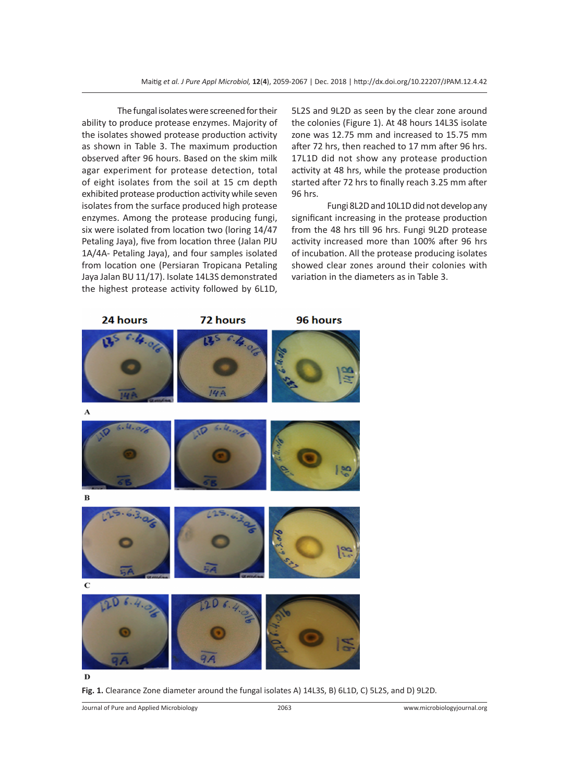The fungal isolates were screened for their ability to produce protease enzymes. Majority of the isolates showed protease production activity as shown in Table 3. The maximum production observed after 96 hours. Based on the skim milk agar experiment for protease detection, total of eight isolates from the soil at 15 cm depth exhibited protease production activity while seven isolates from the surface produced high protease enzymes. Among the protease producing fungi, six were isolated from location two (loring 14/47 Petaling Jaya), five from location three (Jalan PJU 1A/4A- Petaling Jaya), and four samples isolated from location one (Persiaran Tropicana Petaling Jaya Jalan BU 11/17). Isolate 14L3S demonstrated the highest protease activity followed by 6L1D,

5L2S and 9L2D as seen by the clear zone around the colonies (Figure 1). At 48 hours 14L3S isolate zone was 12.75 mm and increased to 15.75 mm after 72 hrs, then reached to 17 mm after 96 hrs. 17L1D did not show any protease production activity at 48 hrs, while the protease production started after 72 hrs to finally reach 3.25 mm after 96 hrs.

Fungi 8L2D and 10L1D did not develop any significant increasing in the protease production from the 48 hrs till 96 hrs. Fungi 9L2D protease activity increased more than 100% after 96 hrs of incubation. All the protease producing isolates showed clear zones around their colonies with variation in the diameters as in Table 3.



Fig. 1. Clearance Zone diameter around the fungal isolates A) 14L3S, B) 6L1D, C) 5L2S, and D) 9L2D.

Journal of Pure and Applied Microbiology 2063 www.microbiologyjournal.org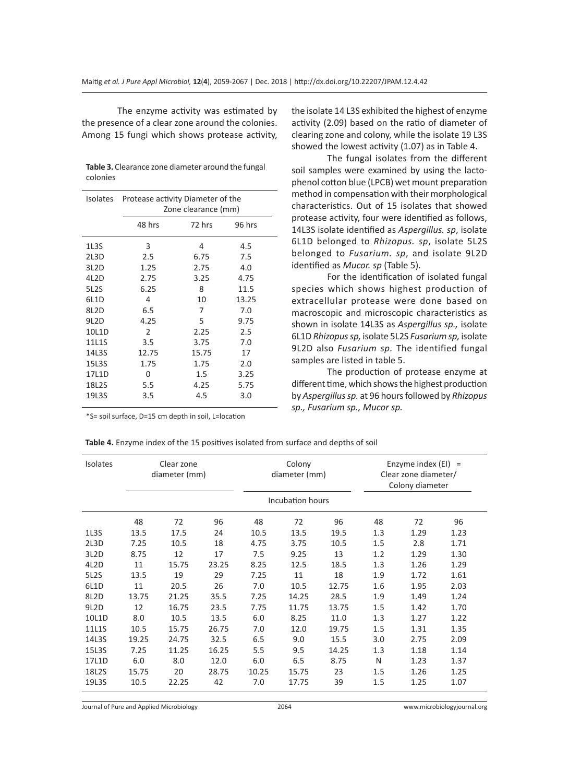The enzyme activity was estimated by the presence of a clear zone around the colonies. Among 15 fungi which shows protease activity,

| <b>Table 3.</b> Clearance zone diameter around the fungal |  |
|-----------------------------------------------------------|--|
| colonies                                                  |  |

| Isolates          | Protease activity Diameter of the<br>Zone clearance (mm) |        |        |  |  |
|-------------------|----------------------------------------------------------|--------|--------|--|--|
|                   | 48 hrs                                                   | 72 hrs | 96 hrs |  |  |
| 1L3S              | 3                                                        | 4      | 4.5    |  |  |
| 2L3D              | 2.5                                                      | 6.75   | 7.5    |  |  |
| 3L <sub>2</sub> D | 1.25                                                     | 2.75   | 4.0    |  |  |
| 4L <sub>2</sub> D | 2.75                                                     | 3.25   | 4.75   |  |  |
| <b>5L2S</b>       | 6.25                                                     | 8      | 11.5   |  |  |
| 6L1D              | 4                                                        | 10     | 13.25  |  |  |
| 8L <sub>2</sub> D | 6.5                                                      | 7      | 7.0    |  |  |
| 9L <sub>2</sub> D | 4.25                                                     | 5      | 9.75   |  |  |
| 10L1D             | $\mathcal{P}$                                            | 2.25   | 2.5    |  |  |
| 11L1S             | 3.5                                                      | 3.75   | 7.0    |  |  |
| 14L3S             | 12.75                                                    | 15.75  | 17     |  |  |
| 15L3S             | 1.75                                                     | 1.75   | 2.0    |  |  |
| 17L1D             | 0                                                        | 1.5    | 3.25   |  |  |
| 18L2S             | 5.5                                                      | 4.25   | 5.75   |  |  |
| 19L3S             | 3.5                                                      | 4.5    | 3.0    |  |  |

the isolate 14 L3S exhibited the highest of enzyme activity (2.09) based on the ratio of diameter of clearing zone and colony, while the isolate 19 L3S showed the lowest activity (1.07) as in Table 4.

The fungal isolates from the different soil samples were examined by using the lactophenol cotton blue (LPCB) wet mount preparation method in compensation with their morphological characteristics. Out of 15 isolates that showed protease activity, four were identified as follows, 14L3S isolate identified as *Aspergillus. sp*, isolate 6L1D belonged to *Rhizopus. sp*, isolate 5L2S belonged to *Fusarium. sp*, and isolate 9L2D identified as *Mucor. sp* (Table 5).

For the identification of isolated fungal species which shows highest production of extracellular protease were done based on macroscopic and microscopic characteristics as shown in isolate 14L3S as *Aspergillus sp.,* isolate 6L1D *Rhizopus sp,* isolate 5L2S *Fusarium sp,* isolate 9L2D also *Fusarium sp.* The identified fungal samples are listed in table 5.

The production of protease enzyme at different time, which shows the highest production by *Aspergillus sp.* at 96 hours followed by *Rhizopus sp., Fusarium sp., Mucor sp.*

\*S= soil surface, D=15 cm depth in soil, L=location

**Table 4.** Enzyme index of the 15 positives isolated from surface and depths of soil

| <b>Isolates</b>   | Clear zone<br>diameter (mm) |       | Colony<br>diameter (mm) |       | Enzyme index $(EI) =$<br>Clear zone diameter/<br>Colony diameter |       |     |      |      |
|-------------------|-----------------------------|-------|-------------------------|-------|------------------------------------------------------------------|-------|-----|------|------|
|                   |                             |       |                         |       | Incubation hours                                                 |       |     |      |      |
|                   | 48                          | 72    | 96                      | 48    | 72                                                               | 96    | 48  | 72   | 96   |
| 1L3S              | 13.5                        | 17.5  | 24                      | 10.5  | 13.5                                                             | 19.5  | 1.3 | 1.29 | 1.23 |
| 2L3D              | 7.25                        | 10.5  | 18                      | 4.75  | 3.75                                                             | 10.5  | 1.5 | 2.8  | 1.71 |
| 3L <sub>2</sub> D | 8.75                        | 12    | 17                      | 7.5   | 9.25                                                             | 13    | 1.2 | 1.29 | 1.30 |
| 4L <sub>2</sub> D | 11                          | 15.75 | 23.25                   | 8.25  | 12.5                                                             | 18.5  | 1.3 | 1.26 | 1.29 |
| 5L2S              | 13.5                        | 19    | 29                      | 7.25  | 11                                                               | 18    | 1.9 | 1.72 | 1.61 |
| 6L1D              | 11                          | 20.5  | 26                      | 7.0   | 10.5                                                             | 12.75 | 1.6 | 1.95 | 2.03 |
| 8L <sub>2</sub> D | 13.75                       | 21.25 | 35.5                    | 7.25  | 14.25                                                            | 28.5  | 1.9 | 1.49 | 1.24 |
| 9L <sub>2</sub> D | 12                          | 16.75 | 23.5                    | 7.75  | 11.75                                                            | 13.75 | 1.5 | 1.42 | 1.70 |
| 10L1D             | 8.0                         | 10.5  | 13.5                    | 6.0   | 8.25                                                             | 11.0  | 1.3 | 1.27 | 1.22 |
| 11L1S             | 10.5                        | 15.75 | 26.75                   | 7.0   | 12.0                                                             | 19.75 | 1.5 | 1.31 | 1.35 |
| 14L3S             | 19.25                       | 24.75 | 32.5                    | 6.5   | 9.0                                                              | 15.5  | 3.0 | 2.75 | 2.09 |
| 15L3S             | 7.25                        | 11.25 | 16.25                   | 5.5   | 9.5                                                              | 14.25 | 1.3 | 1.18 | 1.14 |
| 17L1D             | 6.0                         | 8.0   | 12.0                    | 6.0   | 6.5                                                              | 8.75  | N   | 1.23 | 1.37 |
| 18L2S             | 15.75                       | 20    | 28.75                   | 10.25 | 15.75                                                            | 23    | 1.5 | 1.26 | 1.25 |
| 19L3S             | 10.5                        | 22.25 | 42                      | 7.0   | 17.75                                                            | 39    | 1.5 | 1.25 | 1.07 |

Journal of Pure and Applied Microbiology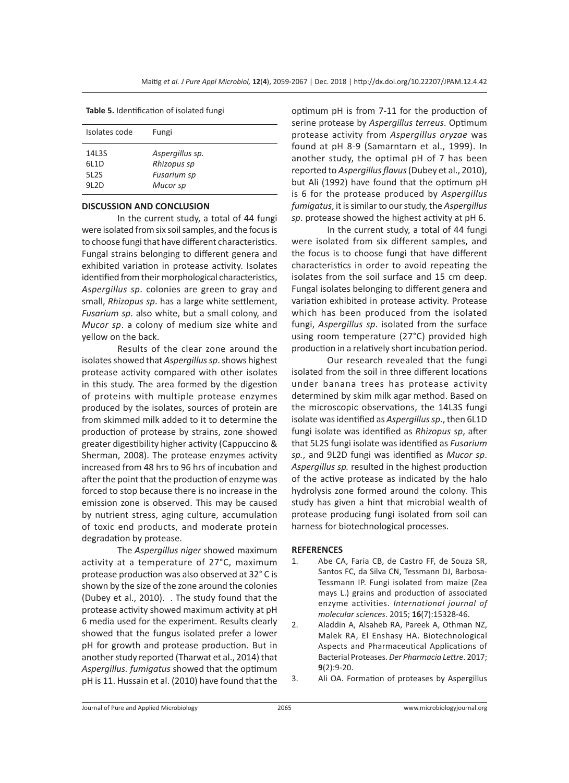**Table 5.** Identification of isolated fungi

| Isolates code                            | Fungi                                                     |
|------------------------------------------|-----------------------------------------------------------|
| 14L3S<br>61 1 D<br><b>5L2S</b><br>91 2 D | Aspergillus sp.<br>Rhizopus sp<br>Fusarium sp<br>Mucor sp |

#### **DISCUSSION AND CONCLUSION**

In the current study, a total of 44 fungi were isolated from six soil samples, and the focus is to choose fungi that have different characteristics. Fungal strains belonging to different genera and exhibited variation in protease activity. Isolates identified from their morphological characteristics, *Aspergillus sp*. colonies are green to gray and small, *Rhizopus sp*. has a large white settlement, *Fusarium sp*. also white, but a small colony, and *Mucor sp*. a colony of medium size white and yellow on the back.

Results of the clear zone around the isolates showed that *Aspergillus sp*. shows highest protease activity compared with other isolates in this study. The area formed by the digestion of proteins with multiple protease enzymes produced by the isolates, sources of protein are from skimmed milk added to it to determine the production of protease by strains, zone showed greater digestibility higher activity (Cappuccino & Sherman, 2008). The protease enzymes activity increased from 48 hrs to 96 hrs of incubation and after the point that the production of enzyme was forced to stop because there is no increase in the emission zone is observed. This may be caused by nutrient stress, aging culture, accumulation of toxic end products, and moderate protein degradation by protease.

The *Aspergillus niger* showed maximum activity at a temperature of 27°C, maximum protease production was also observed at 32° C is shown by the size of the zone around the colonies (Dubey et al., 2010). . The study found that the protease activity showed maximum activity at pH 6 media used for the experiment. Results clearly showed that the fungus isolated prefer a lower pH for growth and protease production. But in another study reported (Tharwat et al., 2014) that *Aspergillus. fumigatus* showed that the optimum pH is 11. Hussain et al. (2010) have found that the optimum pH is from 7-11 for the production of serine protease by *Aspergillus terreus*. Optimum protease activity from *Aspergillus oryzae* was found at pH 8-9 (Samarntarn et al., 1999). In another study, the optimal pH of 7 has been reported to *Aspergillus flavus* (Dubey et al., 2010), but Ali (1992) have found that the optimum pH is 6 for the protease produced by *Aspergillus fumigatus*, it is similar to our study, the *Aspergillus sp*. protease showed the highest activity at pH 6.

In the current study, a total of 44 fungi were isolated from six different samples, and the focus is to choose fungi that have different characteristics in order to avoid repeating the isolates from the soil surface and 15 cm deep. Fungal isolates belonging to different genera and variation exhibited in protease activity. Protease which has been produced from the isolated fungi, *Aspergillus sp*. isolated from the surface using room temperature (27°C) provided high production in a relatively short incubation period.

Our research revealed that the fungi isolated from the soil in three different locations under banana trees has protease activity determined by skim milk agar method. Based on the microscopic observations, the 14L3S fungi isolate was identified as *Aspergillus sp.*, then 6L1D fungi isolate was identified as *Rhizopus sp*, after that 5L2S fungi isolate was identified as *Fusarium sp.*, and 9L2D fungi was identified as *Mucor sp*. *Aspergillus sp.* resulted in the highest production of the active protease as indicated by the halo hydrolysis zone formed around the colony. This study has given a hint that microbial wealth of protease producing fungi isolated from soil can harness for biotechnological processes.

#### **REFERENCES**

- 1. Abe CA, Faria CB, de Castro FF, de Souza SR, Santos FC, da Silva CN, Tessmann DJ, Barbosa-Tessmann IP. Fungi isolated from maize (Zea mays L.) grains and production of associated enzyme activities. *International journal of molecular sciences*. 2015; **16**(7):15328-46.
- 2. Aladdin A, Alsaheb RA, Pareek A, Othman NZ, Malek RA, El Enshasy HA. Biotechnological Aspects and Pharmaceutical Applications of Bacterial Proteases. *Der Pharmacia Lettre*. 2017; **9**(2):9-20.
- 3. Ali OA. Formation of proteases by Aspergillus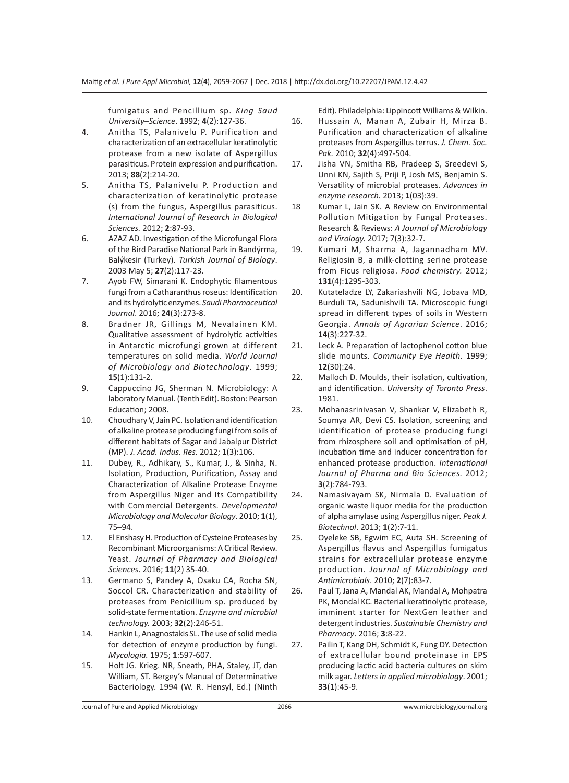fumigatus and Pencillium sp. *King Saud University–Science*. 1992; **4**(2):127-36.

- 4. Anitha TS, Palanivelu P. Purification and characterization of an extracellular keratinolytic protease from a new isolate of Aspergillus parasiticus. Protein expression and purification. 2013; **88**(2):214-20.
- 5. Anitha TS, Palanivelu P. Production and characterization of keratinolytic protease (s) from the fungus, Aspergillus parasiticus. *International Journal of Research in Biological Sciences.* 2012; **2**:87-93.
- 6. AZAZ AD. Investigation of the Microfungal Flora of the Bird Paradise National Park in Bandýrma, Balýkesir (Turkey). *Turkish Journal of Biology*. 2003 May 5; **27**(2):117-23.
- 7. Ayob FW, Simarani K. Endophytic filamentous fungi from a Catharanthus roseus: Identification and its hydrolytic enzymes. *Saudi Pharmaceutical Journal*. 2016; **24**(3):273-8.
- 8. Bradner JR, Gillings M, Nevalainen KM. Qualitative assessment of hydrolytic activities in Antarctic microfungi grown at different temperatures on solid media. *World Journal of Microbiology and Biotechnology*. 1999; **15**(1):131-2.
- 9. Cappuccino JG, Sherman N. Microbiology: A laboratory Manual. (Tenth Edit). Boston: Pearson Education; 2008.
- 10. Choudhary V, Jain PC. Isolation and identification of alkaline protease producing fungi from soils of different habitats of Sagar and Jabalpur District (MP). *J. Acad. Indus. Res.* 2012; **1**(3):106.
- 11. Dubey, R., Adhikary, S., Kumar, J., & Sinha, N. Isolation, Production, Purification, Assay and Characterization of Alkaline Protease Enzyme from Aspergillus Niger and Its Compatibility with Commercial Detergents. *Developmental Microbiology and Molecular Biology*. 2010; **1**(1), 75–94.
- 12. El Enshasy H. Production of Cysteine Proteases by Recombinant Microorganisms: A Critical Review. Yeast. *Journal of Pharmacy and Biological Sciences*. 2016; **11**(2) 35-40.
- 13. Germano S, Pandey A, Osaku CA, Rocha SN, Soccol CR. Characterization and stability of proteases from Penicillium sp. produced by solid-state fermentation. *Enzyme and microbial technology.* 2003; **32**(2):246-51.
- 14. Hankin L, Anagnostakis SL. The use of solid media for detection of enzyme production by fungi. *Mycologia.* 1975; **1**:597-607.
- 15. Holt JG. Krieg. NR, Sneath, PHA, Staley, JT, dan William, ST. Bergey's Manual of Determinative Bacteriology. 1994 (W. R. Hensyl, Ed.) (Ninth

Edit). Philadelphia: Lippincott Williams & Wilkin.

- 16. Hussain A, Manan A, Zubair H, Mirza B. Purification and characterization of alkaline proteases from Aspergillus terrus. *J. Chem. Soc. Pak.* 2010; **32**(4):497-504.
- 17. Jisha VN, Smitha RB, Pradeep S, Sreedevi S, Unni KN, Sajith S, Priji P, Josh MS, Benjamin S. Versatility of microbial proteases. *Advances in enzyme research.* 2013; **1**(03):39.
- 18 Kumar L, Jain SK. A Review on Environmental Pollution Mitigation by Fungal Proteases. Research & Reviews: *A Journal of Microbiology and Virology.* 2017; 7(3):32-7.
- 19. Kumari M, Sharma A, Jagannadham MV. Religiosin B, a milk-clotting serine protease from Ficus religiosa. *Food chemistry.* 2012; **131**(4):1295-303.
- 20. Kutateladze LY, Zakariashvili NG, Jobava MD, Burduli TA, Sadunishvili TA. Microscopic fungi spread in different types of soils in Western Georgia. *Annals of Agrarian Science*. 2016; **14**(3):227-32.
- 21. Leck A. Preparation of lactophenol cotton blue slide mounts. *Community Eye Health*. 1999; **12**(30):24.
- 22. Malloch D. Moulds, their isolation, cultivation, and identification. *University of Toronto Press*. 1981.
- 23. Mohanasrinivasan V, Shankar V, Elizabeth R, Soumya AR, Devi CS. Isolation, screening and identification of protease producing fungi from rhizosphere soil and optimisation of pH, incubation time and inducer concentration for enhanced protease production. *International Journal of Pharma and Bio Sciences*. 2012; **3**(2):784-793.
- 24. Namasivayam SK, Nirmala D. Evaluation of organic waste liquor media for the production of alpha amylase using Aspergillus niger. *Peak J. Biotechnol*. 2013; **1**(2):7-11.
- 25. Oyeleke SB, Egwim EC, Auta SH. Screening of Aspergillus flavus and Aspergillus fumigatus strains for extracellular protease enzyme production. *Journal of Microbiology and Antimicrobials*. 2010; **2**(7):83-7.
- 26. Paul T, Jana A, Mandal AK, Mandal A, Mohpatra PK, Mondal KC. Bacterial keratinolytic protease, imminent starter for NextGen leather and detergent industries. *Sustainable Chemistry and Pharmacy*. 2016; **3**:8-22.
- 27. Pailin T, Kang DH, Schmidt K, Fung DY. Detection of extracellular bound proteinase in EPS producing lactic acid bacteria cultures on skim milk agar. *Letters in applied microbiology*. 2001; **33**(1):45-9.